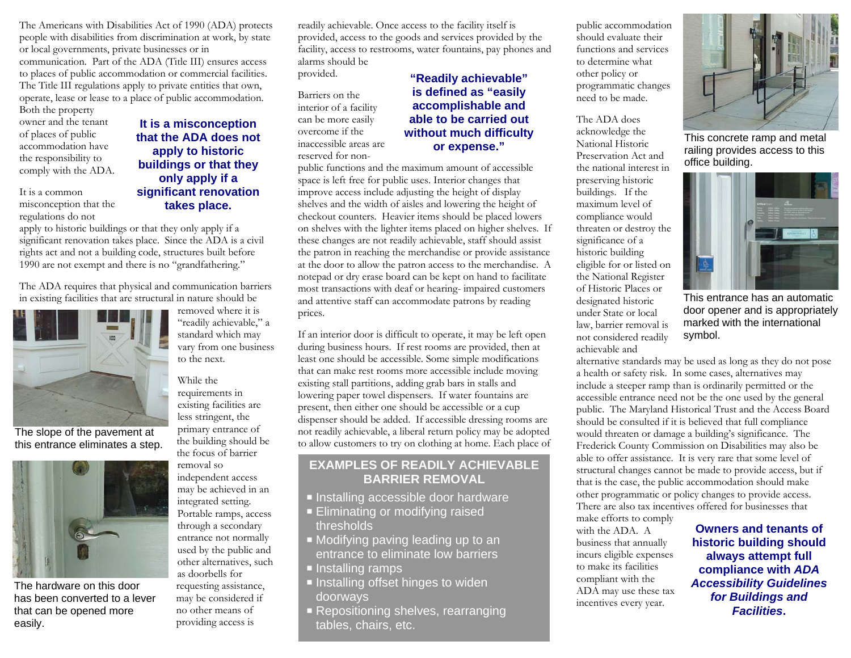The Americans with Disabilities Act of 1990 (ADA) protects people with disabilities from discrimination at work, by state or local governments, private businesses or in communication. Part of the ADA (Title III) ensures access to places of public accommodation or commercial facilities. The Title III regulations apply to private entities that own, operate, lease or lease to a place of public accommodation. Both the property

owner and the tenant of places of public accommodation have the responsibility to comply with the ADA.

It is a common misconception that the regulations do not

## **It is a misconception that the ADA does not apply to historic buildings or that they only apply if a significant renovation takes place.**

apply to historic buildings or that they only apply if a significant renovation takes place. Since the ADA is a civil rights act and not a building code, structures built before 1990 are not exempt and there is no "grandfathering."

The ADA requires that physical and communication barriers in existing facilities that are structural in nature should be



The slope of the pavement at this entrance eliminates a step.



The hardware on this door has been converted to a lever that can be opened more easily.

removed where it is "readily achievable," a standard which may vary from one business to the next.

While the requirements in existing facilities are less stringent, the primary entrance of the building should be the focus of barrier removal so independent access may be achieved in an integrated setting. Portable ramps, access through a secondary entrance not normally used by the public and other alternatives, such as doorbells for requesting assistance, may be considered if no other means of providing access is

readily achievable. Once access to the facility itself is provided, access to the goods and services provided by the facility, access to restrooms, water fountains, pay phones and alarms should be provided.

Barriers on the interior of a facility can be more easily overcome if the inaccessible areas are reserved for non-

## **"Readily achievable" is defined as "easily accomplishable and able to be carried out without much difficulty or expense."**

public functions and the maximum amount of accessible space is left free for public uses. Interior changes that improve access include adjusting the height of display shelves and the width of aisles and lowering the height of checkout counters. Heavier items should be placed lowers on shelves with the lighter items placed on higher shelves. If these changes are not readily achievable, staff should assist the patron in reaching the merchandise or provide assistance at the door to allow the patron access to the merchandise. A notepad or dry erase board can be kept on hand to facilitate most transactions with deaf or hearing- impaired customers and attentive staff can accommodate patrons by reading prices.

If an interior door is difficult to operate, it may be left open during business hours. If rest rooms are provided, then at least one should be accessible. Some simple modifications that can make rest rooms more accessible include moving existing stall partitions, adding grab bars in stalls and lowering paper towel dispensers. If water fountains are present, then either one should be accessible or a cup dispenser should be added. If accessible dressing rooms are not readily achievable, a liberal return policy may be adopted to allow customers to try on clothing at home. Each place of

## **EXAMPLES OF READILY ACHIEVABLE BARRIER REMOVAL**

- $\blacksquare$  Installing accessible door hardware
- Eliminating or modifying raised thresholds
- Modifying paving leading up to an entrance to eliminate low barriers
- **Installing ramps**
- Installing offset hinges to widen doorways
- Repositioning shelves, rearranging tables, chairs, etc.

public accommodation should evaluate their functions and services to determine what other policy or programmatic changes need to be made.

The ADA does acknowledge the National Historic Preservation Act and the national interest in preserving historic buildings. If the maximum level of compliance would threaten or destroy the significance of a historic building eligible for or listed on the National Register of Historic Places or designated historic under State or local law, barrier removal is not considered readily achievable and



This concrete ramp and metal railing provides access to this office building.



This entrance has an automatic door opener and is appropriately marked with the international symbol.

alternative standards may be used as long as they do not pose a health or safety risk. In some cases, alternatives may include a steeper ramp than is ordinarily permitted or the accessible entrance need not be the one used by the general public. The Maryland Historical Trust and the Access Board should be consulted if it is believed that full compliance would threaten or damage a building's significance. The Frederick County Commission on Disabilities may also be able to offer assistance. It is very rare that some level of structural changes cannot be made to provide access, but if that is the case, the public accommodation should make other programmatic or policy changes to provide access. There are also tax incentives offered for businesses that make efforts to comply

with the ADA. A business that annually incurs eligible expenses to make its facilities compliant with the ADA may use these tax incentives every year.

**Owners and tenants of historic building should always attempt full compliance with** *ADA Accessibility Guidelines for Buildings and Facilities***.**